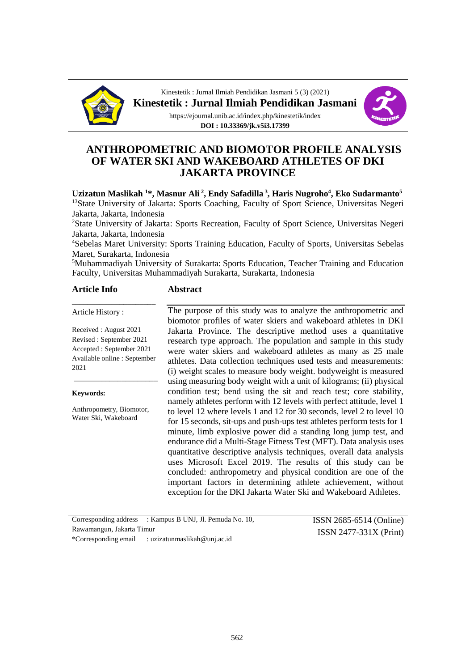

Kinestetik : Jurnal Ilmiah Pendidikan Jasmani 5 (3) (2021) **Kinestetik : Jurnal Ilmiah Pendidikan Jasmani** https://ejournal.unib.ac.id/index.php/kinestetik/index

**DOI : 10.33369/jk.v5i3.17399**



# **ANTHROPOMETRIC AND BIOMOTOR PROFILE ANALYSIS OF WATER SKI AND WAKEBOARD ATHLETES OF DKI JAKARTA PROVINCE**

**Uzizatun Maslikah <sup>1</sup>\*, Masnur Ali <sup>2</sup> , Endy Safadilla <sup>3</sup> , Haris Nugroho<sup>4</sup> , Eko Sudarmanto<sup>5</sup>** <sup>13</sup>State University of Jakarta: Sports Coaching, Faculty of Sport Science, Universitas Negeri Jakarta, Jakarta, Indonesia

<sup>2</sup>State University of Jakarta: Sports Recreation, Faculty of Sport Science, Universitas Negeri Jakarta, Jakarta, Indonesia

<sup>4</sup>Sebelas Maret University: Sports Training Education, Faculty of Sports, Universitas Sebelas Maret, Surakarta, Indonesia

<sup>5</sup>Muhammadiyah University of Surakarta: Sports Education, Teacher Training and Education Faculty, Universitas Muhammadiyah Surakarta, Surakarta, Indonesia

#### **Article Info**

#### **Abstract**

Article History :

Received : August 2021 Revised : September 2021 Accepted : September 2021 Available online : September 2021

\_\_\_\_\_\_\_\_\_\_\_\_\_\_\_\_\_\_\_\_\_

\_\_\_\_\_\_\_\_\_\_\_\_\_\_\_\_\_\_\_\_\_

**Keywords:**

Anthropometry, Biomotor, Water Ski, Wakeboard

The purpose of this study was to analyze the anthropometric and biomotor profiles of water skiers and wakeboard athletes in DKI Jakarta Province. The descriptive method uses a quantitative research type approach. The population and sample in this study were water skiers and wakeboard athletes as many as 25 male athletes. Data collection techniques used tests and measurements: (i) weight scales to measure body weight. bodyweight is measured using measuring body weight with a unit of kilograms; (ii) physical condition test; bend using the sit and reach test; core stability, namely athletes perform with 12 levels with perfect attitude, level 1 to level 12 where levels 1 and 12 for 30 seconds, level 2 to level 10 for 15 seconds, sit-ups and push-ups test athletes perform tests for 1 minute, limb explosive power did a standing long jump test, and endurance did a Multi-Stage Fitness Test (MFT). Data analysis uses quantitative descriptive analysis techniques, overall data analysis uses Microsoft Excel 2019. The results of this study can be concluded: anthropometry and physical condition are one of the important factors in determining athlete achievement, without exception for the DKI Jakarta Water Ski and Wakeboard Athletes.

Corresponding address : Kampus B UNJ, Jl. Pemuda No. 10, Rawamangun, Jakarta Timur \*Corresponding email : [uzizatunmaslikah@unj.ac.id](mailto:uzizatunmaslikah@unj.ac.id)

ISSN 2685-6514 (Online) ISSN 2477-331X (Print)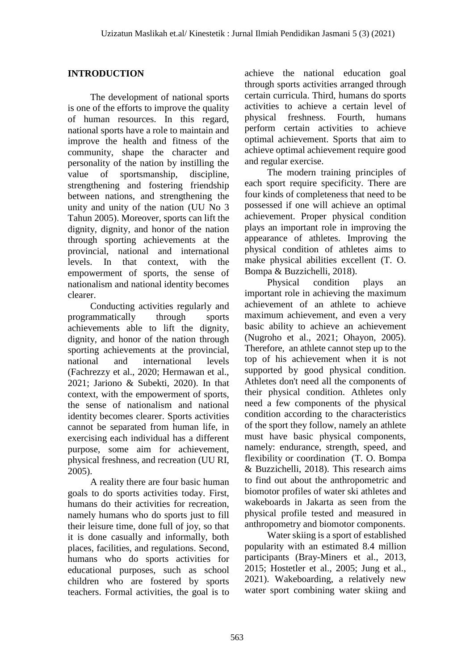# **INTRODUCTION**

The development of national sports is one of the efforts to improve the quality of human resources. In this regard, national sports have a role to maintain and improve the health and fitness of the community, shape the character and personality of the nation by instilling the value of sportsmanship, discipline, strengthening and fostering friendship between nations, and strengthening the unity and unity of the nation (UU No 3 Tahun 2005). Moreover, sports can lift the dignity, dignity, and honor of the nation through sporting achievements at the provincial, national and international levels. In that context, with the empowerment of sports, the sense of nationalism and national identity becomes clearer.

Conducting activities regularly and programmatically through sports achievements able to lift the dignity, dignity, and honor of the nation through sporting achievements at the provincial, national and international levels (Fachrezzy et al., 2020; Hermawan et al., 2021; Jariono & Subekti, 2020). In that context, with the empowerment of sports, the sense of nationalism and national identity becomes clearer. Sports activities cannot be separated from human life, in exercising each individual has a different purpose, some aim for achievement, physical freshness, and recreation (UU RI, 2005).

A reality there are four basic human goals to do sports activities today. First, humans do their activities for recreation, namely humans who do sports just to fill their leisure time, done full of joy, so that it is done casually and informally, both places, facilities, and regulations. Second, humans who do sports activities for educational purposes, such as school children who are fostered by sports teachers. Formal activities, the goal is to

achieve the national education goal through sports activities arranged through certain curricula. Third, humans do sports activities to achieve a certain level of physical freshness. Fourth, humans perform certain activities to achieve optimal achievement. Sports that aim to achieve optimal achievement require good and regular exercise.

The modern training principles of each sport require specificity. There are four kinds of completeness that need to be possessed if one will achieve an optimal achievement. Proper physical condition plays an important role in improving the appearance of athletes. Improving the physical condition of athletes aims to make physical abilities excellent (T. O. Bompa & Buzzichelli, 2018).

Physical condition plays an important role in achieving the maximum achievement of an athlete to achieve maximum achievement, and even a very basic ability to achieve an achievement (Nugroho et al., 2021; Ohayon, 2005). Therefore, an athlete cannot step up to the top of his achievement when it is not supported by good physical condition. Athletes don't need all the components of their physical condition. Athletes only need a few components of the physical condition according to the characteristics of the sport they follow, namely an athlete must have basic physical components, namely: endurance, strength, speed, and flexibility or coordination (T. O. Bompa & Buzzichelli, 2018). This research aims to find out about the anthropometric and biomotor profiles of water ski athletes and wakeboards in Jakarta as seen from the physical profile tested and measured in anthropometry and biomotor components.

Water skiing is a sport of established popularity with an estimated 8.4 million participants (Bray-Miners et al., 2013, 2015; Hostetler et al., 2005; Jung et al., 2021). Wakeboarding, a relatively new water sport combining water skiing and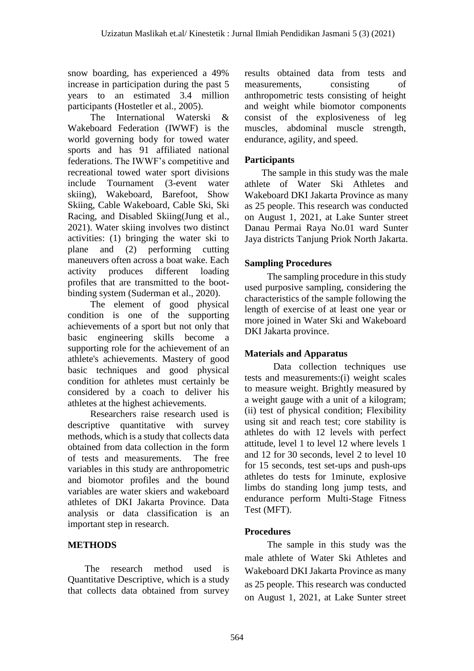snow boarding, has experienced a 49% increase in participation during the past 5 years to an estimated 3.4 million participants (Hostetler et al., 2005).

The International Waterski & Wakeboard Federation (IWWF) is the world governing body for towed water sports and has 91 affiliated national federations. The IWWF's competitive and recreational towed water sport divisions include Tournament (3-event water skiing), Wakeboard, Barefoot, Show Skiing, Cable Wakeboard, Cable Ski, Ski Racing, and Disabled Skiing(Jung et al., 2021). Water skiing involves two distinct activities: (1) bringing the water ski to plane and (2) performing cutting maneuvers often across a boat wake. Each activity produces different loading profiles that are transmitted to the bootbinding system (Suderman et al., 2020).

The element of good physical condition is one of the supporting achievements of a sport but not only that basic engineering skills become a supporting role for the achievement of an athlete's achievements. Mastery of good basic techniques and good physical condition for athletes must certainly be considered by a coach to deliver his athletes at the highest achievements.

Researchers raise research used is descriptive quantitative with survey methods, which is a study that collects data obtained from data collection in the form of tests and measurements. The free variables in this study are anthropometric and biomotor profiles and the bound variables are water skiers and wakeboard athletes of DKI Jakarta Province. Data analysis or data classification is an important step in research.

# **METHODS**

The research method used is Quantitative Descriptive, which is a study that collects data obtained from survey results obtained data from tests and measurements, consisting of anthropometric tests consisting of height and weight while biomotor components consist of the explosiveness of leg muscles, abdominal muscle strength, endurance, agility, and speed.

# **Participants**

The sample in this study was the male athlete of Water Ski Athletes and Wakeboard DKI Jakarta Province as many as 25 people. This research was conducted on August 1, 2021, at Lake Sunter street Danau Permai Raya No.01 ward Sunter Jaya districts Tanjung Priok North Jakarta.

### **Sampling Procedures**

The sampling procedure in this study used purposive sampling, considering the characteristics of the sample following the length of exercise of at least one year or more joined in Water Ski and Wakeboard DKI Jakarta province.

### **Materials and Apparatus**

Data collection techniques use tests and measurements:(i) weight scales to measure weight. Brightly measured by a weight gauge with a unit of a kilogram; (ii) test of physical condition; Flexibility using sit and reach test; core stability is athletes do with 12 levels with perfect attitude, level 1 to level 12 where levels 1 and 12 for 30 seconds, level 2 to level 10 for 15 seconds, test set-ups and push-ups athletes do tests for 1minute, explosive limbs do standing long jump tests, and endurance perform Multi-Stage Fitness Test (MFT).

### **Procedures**

The sample in this study was the male athlete of Water Ski Athletes and Wakeboard DKI Jakarta Province as many as 25 people. This research was conducted on August 1, 2021, at Lake Sunter street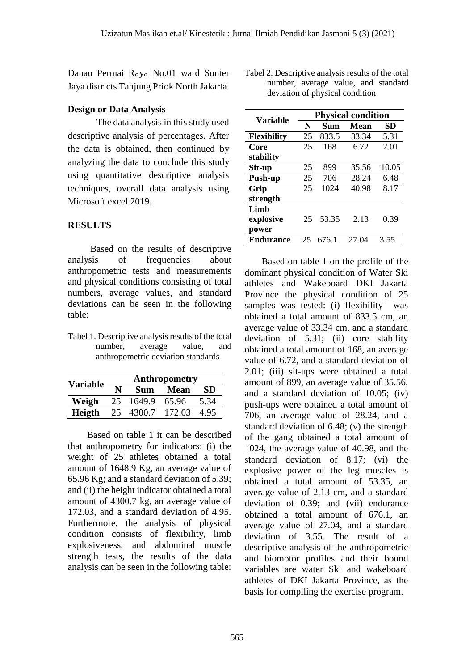Danau Permai Raya No.01 ward Sunter Jaya districts Tanjung Priok North Jakarta.

### **Design or Data Analysis**

The data analysis in this study used descriptive analysis of percentages. After the data is obtained, then continued by analyzing the data to conclude this study using quantitative descriptive analysis techniques, overall data analysis using Microsoft excel 2019.

## **RESULTS**

Based on the results of descriptive analysis of frequencies about anthropometric tests and measurements and physical conditions consisting of total numbers, average values, and standard deviations can be seen in the following table:

Tabel 1. Descriptive analysis results of the total number, average value, and anthropometric deviation standards

| <b>Variable</b> | Anthropometry |            |             |      |  |
|-----------------|---------------|------------|-------------|------|--|
|                 |               | <b>Sum</b> | <b>Mean</b> | SD   |  |
| Weigh           | 25            | 1649.9     | 65.96       | 5.34 |  |
| Heigth          |               | 25 4300.7  | 172.03      | 4.95 |  |

Based on table 1 it can be described that anthropometry for indicators: (i) the weight of 25 athletes obtained a total amount of 1648.9 Kg, an average value of 65.96 Kg; and a standard deviation of 5.39; and (ii) the height indicator obtained a total amount of 4300.7 kg, an average value of 172.03, and a standard deviation of 4.95. Furthermore, the analysis of physical condition consists of flexibility, limb explosiveness, and abdominal muscle strength tests, the results of the data analysis can be seen in the following table:

Tabel 2. Descriptive analysis results of the total number, average value, and standard deviation of physical condition

| Variable           | <b>Physical condition</b> |       |             |       |  |
|--------------------|---------------------------|-------|-------------|-------|--|
|                    | N                         | Sum   | <b>Mean</b> | SD    |  |
| <b>Flexibility</b> | 25                        | 833.5 | 33.34       | 5.31  |  |
| Core               | 25                        | 168   | 6.72        | 2.01  |  |
| stability          |                           |       |             |       |  |
| Sit-up             | 25                        | 899   | 35.56       | 10.05 |  |
| Push-up            | 25                        | 706   | 28.24       | 6.48  |  |
| Grip               | 25                        | 1024  | 40.98       | 8.17  |  |
| strength           |                           |       |             |       |  |
| Limb               |                           |       |             |       |  |
| explosive          | 25                        | 53.35 | 2.13        | 0.39  |  |
| power              |                           |       |             |       |  |
| <b>Endurance</b>   | 25                        | 676.1 | 27.04       | 3.55  |  |

Based on table 1 on the profile of the dominant physical condition of Water Ski athletes and Wakeboard DKI Jakarta Province the physical condition of 25 samples was tested: (i) flexibility was obtained a total amount of 833.5 cm, an average value of 33.34 cm, and a standard deviation of 5.31; (ii) core stability obtained a total amount of 168, an average value of 6.72, and a standard deviation of 2.01; (iii) sit-ups were obtained a total amount of 899, an average value of 35.56, and a standard deviation of 10.05; (iv) push-ups were obtained a total amount of 706, an average value of 28.24, and a standard deviation of 6.48; (v) the strength of the gang obtained a total amount of 1024, the average value of 40.98, and the standard deviation of 8.17; (vi) the explosive power of the leg muscles is obtained a total amount of 53.35, an average value of 2.13 cm, and a standard deviation of 0.39; and (vii) endurance obtained a total amount of 676.1, an average value of 27.04, and a standard deviation of 3.55. The result of a descriptive analysis of the anthropometric and biomotor profiles and their bound variables are water Ski and wakeboard athletes of DKI Jakarta Province, as the basis for compiling the exercise program.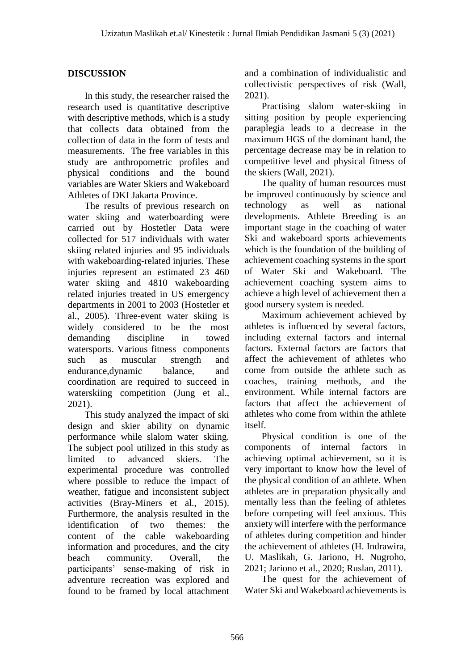## **DISCUSSION**

In this study, the researcher raised the research used is quantitative descriptive with descriptive methods, which is a study that collects data obtained from the collection of data in the form of tests and measurements. The free variables in this study are anthropometric profiles and physical conditions and the bound variables are Water Skiers and Wakeboard Athletes of DKI Jakarta Province.

The results of previous research on water skiing and waterboarding were carried out by Hostetler Data were collected for 517 individuals with water skiing related injuries and 95 individuals with wakeboarding-related injuries. These injuries represent an estimated 23 460 water skiing and 4810 wakeboarding related injuries treated in US emergency departments in 2001 to 2003 (Hostetler et al., 2005). Three-event water skiing is widely considered to be the most demanding discipline in towed watersports. Various fitness components such as muscular strength and endurance,dynamic balance, and coordination are required to succeed in waterskiing competition (Jung et al., 2021).

This study analyzed the impact of ski design and skier ability on dynamic performance while slalom water skiing. The subject pool utilized in this study as limited to advanced skiers. The experimental procedure was controlled where possible to reduce the impact of weather, fatigue and inconsistent subject activities (Bray-Miners et al., 2015). Furthermore, the analysis resulted in the identification of two themes: the content of the cable wakeboarding information and procedures, and the city beach community. Overall, the participants' sense-making of risk in adventure recreation was explored and found to be framed by local attachment and a combination of individualistic and collectivistic perspectives of risk (Wall, 2021).

Practising slalom water-skiing in sitting position by people experiencing paraplegia leads to a decrease in the maximum HGS of the dominant hand, the percentage decrease may be in relation to competitive level and physical fitness of the skiers (Wall, 2021).

The quality of human resources must be improved continuously by science and technology as well as national developments. Athlete Breeding is an important stage in the coaching of water Ski and wakeboard sports achievements which is the foundation of the building of achievement coaching systems in the sport of Water Ski and Wakeboard. The achievement coaching system aims to achieve a high level of achievement then a good nursery system is needed.

Maximum achievement achieved by athletes is influenced by several factors, including external factors and internal factors. External factors are factors that affect the achievement of athletes who come from outside the athlete such as coaches, training methods, and the environment. While internal factors are factors that affect the achievement of athletes who come from within the athlete itself.

Physical condition is one of the components of internal factors in achieving optimal achievement, so it is very important to know how the level of the physical condition of an athlete. When athletes are in preparation physically and mentally less than the feeling of athletes before competing will feel anxious. This anxiety will interfere with the performance of athletes during competition and hinder the achievement of athletes (H. Indrawira, U. Maslikah, G. Jariono, H. Nugroho, 2021; Jariono et al., 2020; Ruslan, 2011).

The quest for the achievement of Water Ski and Wakeboard achievements is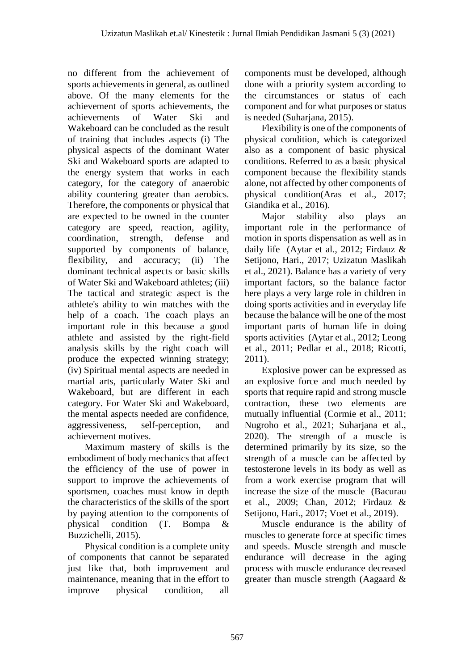no different from the achievement of sports achievements in general, as outlined above. Of the many elements for the achievement of sports achievements, the achievements of Water Ski and Wakeboard can be concluded as the result of training that includes aspects (i) The physical aspects of the dominant Water Ski and Wakeboard sports are adapted to the energy system that works in each category, for the category of anaerobic ability countering greater than aerobics. Therefore, the components or physical that are expected to be owned in the counter category are speed, reaction, agility, coordination, strength, defense and supported by components of balance, flexibility, and accuracy; (ii) The dominant technical aspects or basic skills of Water Ski and Wakeboard athletes; (iii) The tactical and strategic aspect is the athlete's ability to win matches with the help of a coach. The coach plays an important role in this because a good athlete and assisted by the right-field analysis skills by the right coach will produce the expected winning strategy; (iv) Spiritual mental aspects are needed in martial arts, particularly Water Ski and Wakeboard, but are different in each category. For Water Ski and Wakeboard, the mental aspects needed are confidence, aggressiveness, self-perception, and achievement motives.

Maximum mastery of skills is the embodiment of body mechanics that affect the efficiency of the use of power in support to improve the achievements of sportsmen, coaches must know in depth the characteristics of the skills of the sport by paying attention to the components of physical condition (T. Bompa & Buzzichelli, 2015).

Physical condition is a complete unity of components that cannot be separated just like that, both improvement and maintenance, meaning that in the effort to improve physical condition, all

components must be developed, although done with a priority system according to the circumstances or status of each component and for what purposes or status is needed (Suharjana, 2015).

Flexibility is one of the components of physical condition, which is categorized also as a component of basic physical conditions. Referred to as a basic physical component because the flexibility stands alone, not affected by other components of physical condition(Aras et al., 2017; Giandika et al., 2016).

Major stability also plays an important role in the performance of motion in sports dispensation as well as in daily life (Aytar et al., 2012; Firdauz & Setijono, Hari., 2017; Uzizatun Maslikah et al., 2021). Balance has a variety of very important factors, so the balance factor here plays a very large role in children in doing sports activities and in everyday life because the balance will be one of the most important parts of human life in doing sports activities (Aytar et al., 2012; Leong et al., 2011; Pedlar et al., 2018; Ricotti, 2011).

Explosive power can be expressed as an explosive force and much needed by sports that require rapid and strong muscle contraction, these two elements are mutually influential (Cormie et al., 2011; Nugroho et al., 2021; Suharjana et al., 2020). The strength of a muscle is determined primarily by its size, so the strength of a muscle can be affected by testosterone levels in its body as well as from a work exercise program that will increase the size of the muscle (Bacurau et al., 2009; Chan, 2012; Firdauz & Setijono, Hari., 2017; Voet et al., 2019).

Muscle endurance is the ability of muscles to generate force at specific times and speeds. Muscle strength and muscle endurance will decrease in the aging process with muscle endurance decreased greater than muscle strength (Aagaard &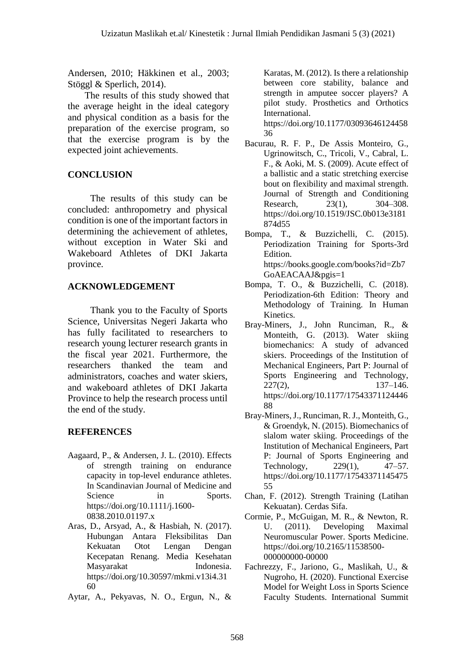Andersen, 2010; Häkkinen et al., 2003; Stöggl & Sperlich, 2014).

The results of this study showed that the average height in the ideal category and physical condition as a basis for the preparation of the exercise program, so that the exercise program is by the expected joint achievements.

# **CONCLUSION**

The results of this study can be concluded: anthropometry and physical condition is one of the important factors in determining the achievement of athletes, without exception in Water Ski and Wakeboard Athletes of DKI Jakarta province.

# **ACKNOWLEDGEMENT**

Thank you to the Faculty of Sports Science, Universitas Negeri Jakarta who has fully facilitated to researchers to research young lecturer research grants in the fiscal year 2021. Furthermore, the researchers thanked the team and administrators, coaches and water skiers, and wakeboard athletes of DKI Jakarta Province to help the research process until the end of the study.

# **REFERENCES**

- Aagaard, P., & Andersen, J. L. (2010). Effects of strength training on endurance capacity in top-level endurance athletes. In Scandinavian Journal of Medicine and Science in Sports. https://doi.org/10.1111/j.1600- 0838.2010.01197.x
- Aras, D., Arsyad, A., & Hasbiah, N. (2017). Hubungan Antara Fleksibilitas Dan Kekuatan Otot Lengan Dengan Kecepatan Renang. Media Kesehatan Masyarakat Indonesia. https://doi.org/10.30597/mkmi.v13i4.31 60
- Aytar, A., Pekyavas, N. O., Ergun, N., &

Karatas, M. (2012). Is there a relationship between core stability, balance and strength in amputee soccer players? A pilot study. Prosthetics and Orthotics International.

https://doi.org/10.1177/03093646124458 36

- Bacurau, R. F. P., De Assis Monteiro, G., Ugrinowitsch, C., Tricoli, V., Cabral, L. F., & Aoki, M. S. (2009). Acute effect of a ballistic and a static stretching exercise bout on flexibility and maximal strength. Journal of Strength and Conditioning Research, 23(1), 304–308. https://doi.org/10.1519/JSC.0b013e3181 874d55
- Bompa, T., & Buzzichelli, C. (2015). Periodization Training for Sports-3rd Edition. https://books.google.com/books?id=Zb7 GoAEACAAJ&pgis=1
- Bompa, T. O., & Buzzichelli, C. (2018). Periodization-6th Edition: Theory and Methodology of Training. In Human Kinetics.
- Bray-Miners, J., John Runciman, R., & Monteith, G. (2013). Water skiing biomechanics: A study of advanced skiers. Proceedings of the Institution of Mechanical Engineers, Part P: Journal of Sports Engineering and Technology, 227(2), 137–146. https://doi.org/10.1177/17543371124446 88
- Bray-Miners, J., Runciman, R. J., Monteith, G., & Groendyk, N. (2015). Biomechanics of slalom water skiing. Proceedings of the Institution of Mechanical Engineers, Part P: Journal of Sports Engineering and Technology, 229(1), 47–57. https://doi.org/10.1177/17543371145475 55
- Chan, F. (2012). Strength Training (Latihan Kekuatan). Cerdas Sifa.
- Cormie, P., McGuigan, M. R., & Newton, R. U. (2011). Developing Maximal Neuromuscular Power. Sports Medicine. https://doi.org/10.2165/11538500- 000000000-00000
- Fachrezzy, F., Jariono, G., Maslikah, U., & Nugroho, H. (2020). Functional Exercise Model for Weight Loss in Sports Science Faculty Students. International Summit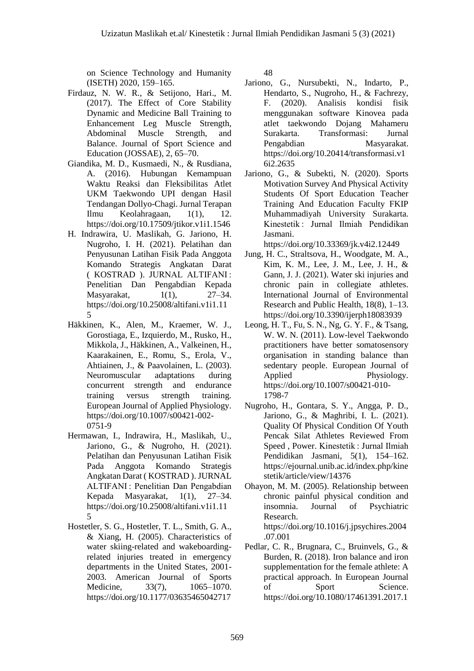on Science Technology and Humanity (ISETH) 2020, 159–165.

- Firdauz, N. W. R., & Setijono, Hari., M. (2017). The Effect of Core Stability Dynamic and Medicine Ball Training to Enhancement Leg Muscle Strength, Abdominal Muscle Strength, and Balance. Journal of Sport Science and Education (JOSSAE), 2, 65–70.
- Giandika, M. D., Kusmaedi, N., & Rusdiana, A. (2016). Hubungan Kemampuan Waktu Reaksi dan Fleksibilitas Atlet UKM Taekwondo UPI dengan Hasil Tendangan Dollyo-Chagi. Jurnal Terapan Ilmu Keolahragaan, 1(1), 12. https://doi.org/10.17509/jtikor.v1i1.1546
- H. Indrawira, U. Maslikah, G. Jariono, H. Nugroho, I. H. (2021). Pelatihan dan Penyusunan Latihan Fisik Pada Anggota Komando Strategis Angkatan Darat ( KOSTRAD ). JURNAL ALTIFANI : Penelitian Dan Pengabdian Kepada Masyarakat,  $1(1)$ ,  $27-34$ . https://doi.org/10.25008/altifani.v1i1.11 5
- Häkkinen, K., Alen, M., Kraemer, W. J., Gorostiaga, E., Izquierdo, M., Rusko, H., Mikkola, J., Häkkinen, A., Valkeinen, H., Kaarakainen, E., Romu, S., Erola, V., Ahtiainen, J., & Paavolainen, L. (2003). Neuromuscular adaptations during concurrent strength and endurance training versus strength training. European Journal of Applied Physiology. https://doi.org/10.1007/s00421-002- 0751-9
- Hermawan, I., Indrawira, H., Maslikah, U., Jariono, G., & Nugroho, H. (2021). Pelatihan dan Penyusunan Latihan Fisik Pada Anggota Komando Strategis Angkatan Darat ( KOSTRAD ). JURNAL ALTIFANI : Penelitian Dan Pengabdian Kepada Masyarakat, 1(1), 27–34. https://doi.org/10.25008/altifani.v1i1.11 5
- Hostetler, S. G., Hostetler, T. L., Smith, G. A., & Xiang, H. (2005). Characteristics of water skiing-related and wakeboardingrelated injuries treated in emergency departments in the United States, 2001- 2003. American Journal of Sports Medicine, 33(7), 1065–1070. https://doi.org/10.1177/03635465042717

48

- Jariono, G., Nursubekti, N., Indarto, P., Hendarto, S., Nugroho, H., & Fachrezy, F. (2020). Analisis kondisi fisik menggunakan software Kinovea pada atlet taekwondo Dojang Mahameru Surakarta. Transformasi: Jurnal Pengabdian Masyarakat. https://doi.org/10.20414/transformasi.v1 6i2.2635
- Jariono, G., & Subekti, N. (2020). Sports Motivation Survey And Physical Activity Students Of Sport Education Teacher Training And Education Faculty FKIP Muhammadiyah University Surakarta. Kinestetik : Jurnal Ilmiah Pendidikan Jasmani.

https://doi.org/10.33369/jk.v4i2.12449

- Jung, H. C., Straltsova, H., Woodgate, M. A., Kim, K. M., Lee, J. M., Lee, J. H., & Gann, J. J. (2021). Water ski injuries and chronic pain in collegiate athletes. International Journal of Environmental Research and Public Health, 18(8), 1–13. https://doi.org/10.3390/ijerph18083939
- Leong, H. T., Fu, S. N., Ng, G. Y. F., & Tsang, W. W. N. (2011). Low-level Taekwondo practitioners have better somatosensory organisation in standing balance than sedentary people. European Journal of Applied Physiology. https://doi.org/10.1007/s00421-010- 1798-7
- Nugroho, H., Gontara, S. Y., Angga, P. D., Jariono, G., & Maghribi, I. L. (2021). Quality Of Physical Condition Of Youth Pencak Silat Athletes Reviewed From Speed , Power. Kinestetik : Jurnal Ilmiah Pendidikan Jasmani, 5(1), 154–162. https://ejournal.unib.ac.id/index.php/kine stetik/article/view/14376
- Ohayon, M. M. (2005). Relationship between chronic painful physical condition and insomnia. Journal of Psychiatric Research. https://doi.org/10.1016/j.jpsychires.2004 .07.001
- Pedlar, C. R., Brugnara, C., Bruinvels, G., & Burden, R. (2018). Iron balance and iron supplementation for the female athlete: A practical approach. In European Journal of Sport Science. https://doi.org/10.1080/17461391.2017.1